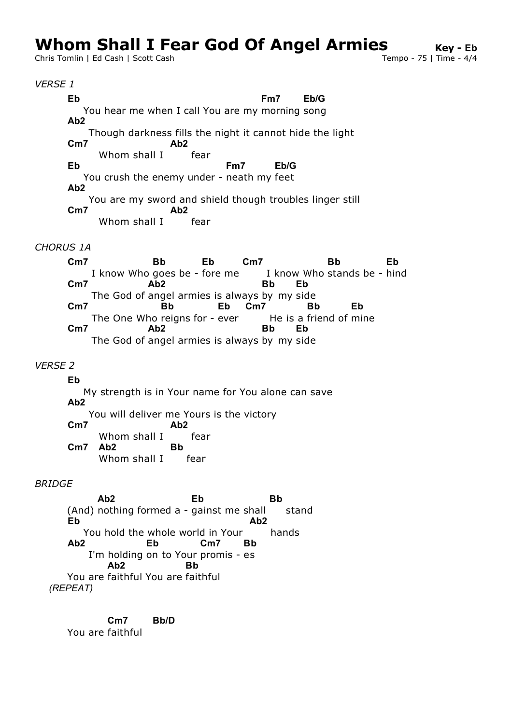# **Whom Shall I Fear God Of Angel Armies**<br>Chris Tomlin | Ed Cash | Scott Cash

Chris Tomlin | Ed Cash | Scott Cash

### *VERSE 1*

 You hear me when I call You are my morning song Though darkness fills the night it cannot hide the light Whom shall I fear You crush the enemy under - neath my feet You are my sword and shield though troubles linger still Whom shall I fear **Eb Fm7 Eb/G Ab2 Cm7 Ab2 Eb Fm7 Eb/G Ab2 Cm7 Ab2**

### *CHORUS 1A*

I know Who goes be - fore me I know Who stands be - I The God of angel armies is always by my side The One Who reigns for - ever he is a friend of i The God of angel armies is always by my side **Cm7 Bb Eb Cm7** stands be - hind **Bb Eb Cm7 Ab2 Bb Eb Cm7 Bb Eb Cm7** friend of mine **Bb Eb Cm7 Ab2 Bb Eb**

## *VERSE 2*

 My strength is in Your name for You alone can save You will deliver me Yours is the victory Whom shall I fear Whom shall I fear **Eb Ab2 Cm7 Ab2 Cm7 Ab2 Bb**

### *BRIDGE*

(And) nothing formed a - gainst me shall stand You hold the whole world in Your hands I'm holding on to Your promis - es You are faithful You are faithful **Ab2 Eb Bb Eb Ab2 Ab2 Eb Cm7 Bb Ab2 Bb** *(REPEAT)*

 You are faithful **Cm7 Bb/D**